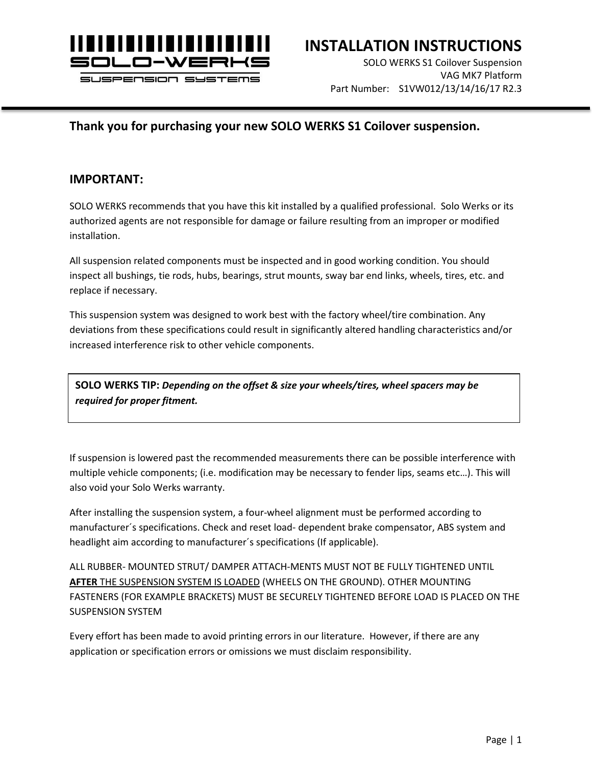

### **INSTALLATION INSTRUCTIONS**

SOLO WERKS S1 Coilover Suspension VAG MK7 Platform Part Number: S1VW012/13/14/16/17 R2.3

#### **Thank you for purchasing your new SOLO WERKS S1 Coilover suspension.**

#### **IMPORTANT:**

SOLO WERKS recommends that you have this kit installed by a qualified professional. Solo Werks or its authorized agents are not responsible for damage or failure resulting from an improper or modified installation.

All suspension related components must be inspected and in good working condition. You should inspect all bushings, tie rods, hubs, bearings, strut mounts, sway bar end links, wheels, tires, etc. and replace if necessary.

This suspension system was designed to work best with the factory wheel/tire combination. Any deviations from these specifications could result in significantly altered handling characteristics and/or increased interference risk to other vehicle components.

**SOLO WERKS TIP:** *Depending on the offset & size your wheels/tires, wheel spacers may be required for proper fitment.*

If suspension is lowered past the recommended measurements there can be possible interference with multiple vehicle components; (i.e. modification may be necessary to fender lips, seams etc…). This will also void your Solo Werks warranty.

After installing the suspension system, a four-wheel alignment must be performed according to manufacturer´s specifications. Check and reset load- dependent brake compensator, ABS system and headlight aim according to manufacturer´s specifications (If applicable).

ALL RUBBER- MOUNTED STRUT/ DAMPER ATTACH-MENTS MUST NOT BE FULLY TIGHTENED UNTIL **AFTER** THE SUSPENSION SYSTEM IS LOADED (WHEELS ON THE GROUND). OTHER MOUNTING FASTENERS (FOR EXAMPLE BRACKETS) MUST BE SECURELY TIGHTENED BEFORE LOAD IS PLACED ON THE SUSPENSION SYSTEM

Every effort has been made to avoid printing errors in our literature. However, if there are any application or specification errors or omissions we must disclaim responsibility.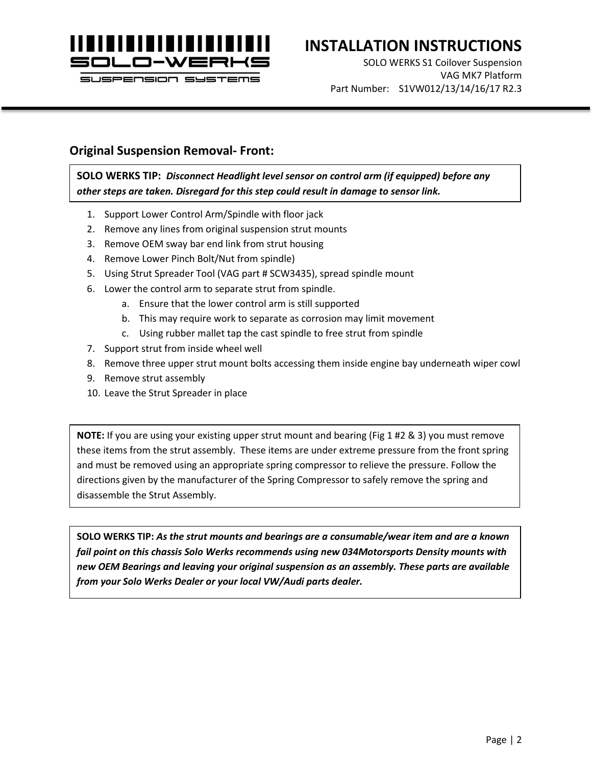

# **INSTALLATION INSTRUCTIONS**

SOLO WERKS S1 Coilover Suspension VAG MK7 Platform Part Number: S1VW012/13/14/16/17 R2.3

### **Original Suspension Removal- Front:**

**SOLO WERKS TIP:** *Disconnect Headlight level sensor on control arm (if equipped) before any other steps are taken. Disregard for this step could result in damage to sensor link.*

- 1. Support Lower Control Arm/Spindle with floor jack
- 2. Remove any lines from original suspension strut mounts
- 3. Remove OEM sway bar end link from strut housing
- 4. Remove Lower Pinch Bolt/Nut from spindle)
- 5. Using Strut Spreader Tool (VAG part # SCW3435), spread spindle mount
- 6. Lower the control arm to separate strut from spindle.
	- a. Ensure that the lower control arm is still supported
	- b. This may require work to separate as corrosion may limit movement
	- c. Using rubber mallet tap the cast spindle to free strut from spindle
- 7. Support strut from inside wheel well
- 8. Remove three upper strut mount bolts accessing them inside engine bay underneath wiper cowl
- 9. Remove strut assembly
- 10. Leave the Strut Spreader in place

**NOTE:** If you are using your existing upper strut mount and bearing (Fig 1 #2 & 3) you must remove these items from the strut assembly. These items are under extreme pressure from the front spring and must be removed using an appropriate spring compressor to relieve the pressure. Follow the directions given by the manufacturer of the Spring Compressor to safely remove the spring and disassemble the Strut Assembly.

**SOLO WERKS TIP:** *As the strut mounts and bearings are a consumable/wear item and are a known fail point on this chassis Solo Werks recommends using new 034Motorsports Density mounts with new OEM Bearings and leaving your original suspension as an assembly. These parts are available from your Solo Werks Dealer or your local VW/Audi parts dealer.*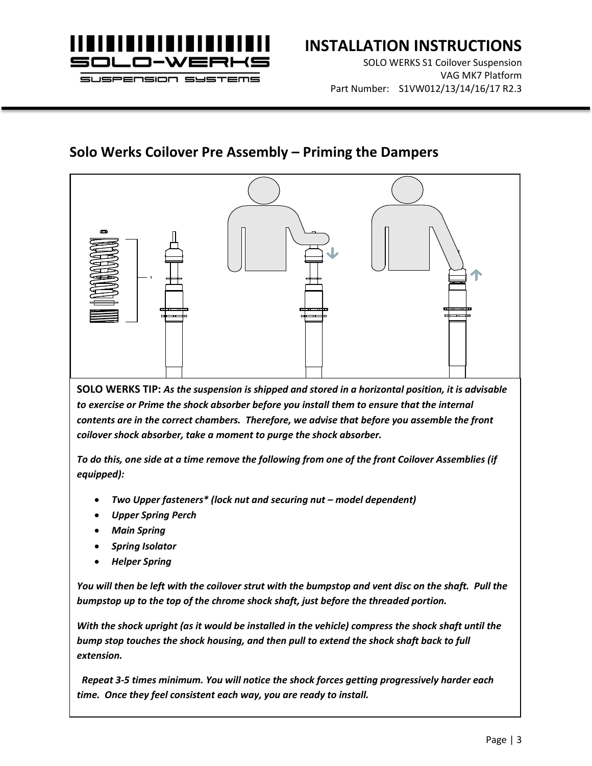

# **INSTALLATION INSTRUCTIONS**

SOLO WERKS S1 Coilover Suspension VAG MK7 Platform Part Number: S1VW012/13/14/16/17 R2.3

### **Solo Werks Coilover Pre Assembly – Priming the Dampers**



**SOLO WERKS TIP:** *As the suspension is shipped and stored in a horizontal position, it is advisable to exercise or Prime the shock absorber before you install them to ensure that the internal contents are in the correct chambers. Therefore, we advise that before you assemble the front coilover shock absorber, take a moment to purge the shock absorber.* 

*To do this, one side at a time remove the following from one of the front Coilover Assemblies (if equipped):*

- *Two Upper fasteners\* (lock nut and securing nut – model dependent)*
- *Upper Spring Perch*
- *Main Spring*
- *Spring Isolator*
- *Helper Spring*

*You will then be left with the coilover strut with the bumpstop and vent disc on the shaft. Pull the bumpstop up to the top of the chrome shock shaft, just before the threaded portion.* 

*With the shock upright (as it would be installed in the vehicle) compress the shock shaft until the bump stop touches the shock housing, and then pull to extend the shock shaft back to full extension.*

 *Repeat 3-5 times minimum. You will notice the shock forces getting progressively harder each time. Once they feel consistent each way, you are ready to install.*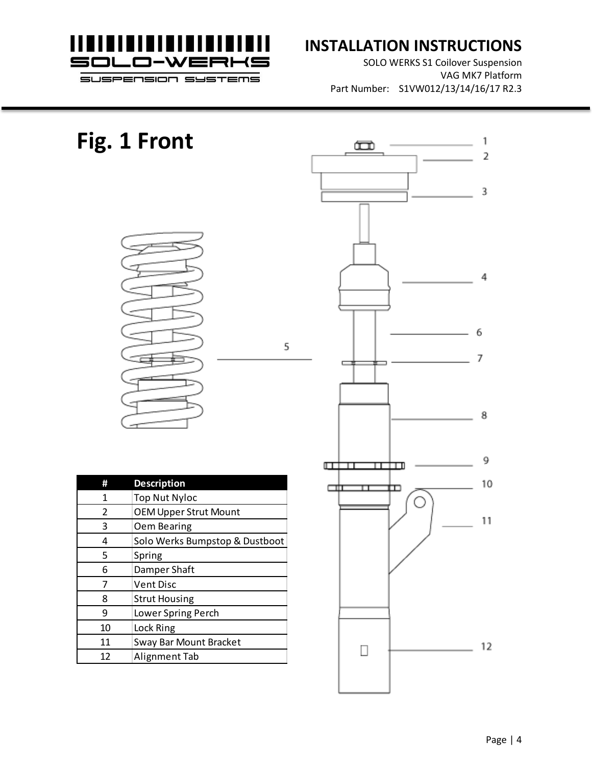

### **INSTALLATION INSTRUCTIONS**

SOLO WERKS S1 Coilover Suspension VAG MK7 Platform Part Number: S1VW012/13/14/16/17 R2.3

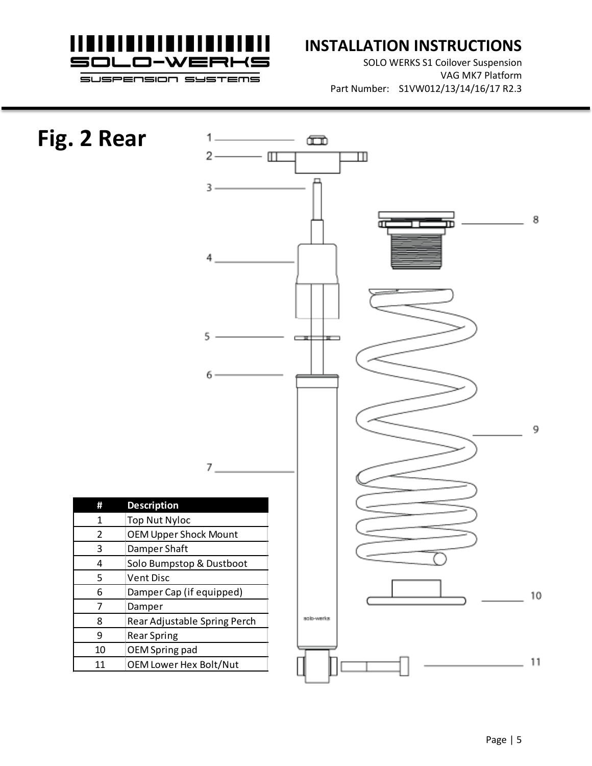

## **INSTALLATION INSTRUCTIONS**

SOLO WERKS S1 Coilover Suspension VAG MK7 Platform Part Number: S1VW012/13/14/16/17 R2.3

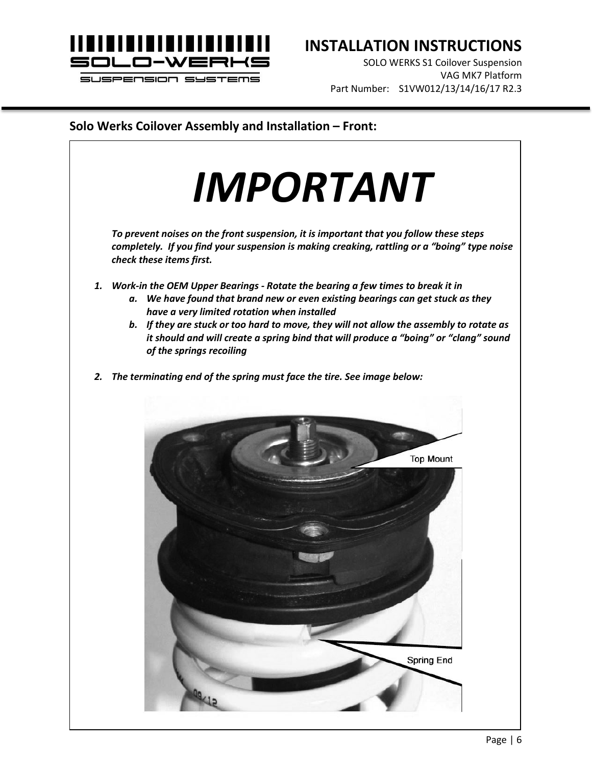

# **INSTALLATION INSTRUCTIONS**

SOLO WERKS S1 Coilover Suspension VAG MK7 Platform Part Number: S1VW012/13/14/16/17 R2.3

#### **Solo Werks Coilover Assembly and Installation – Front:**

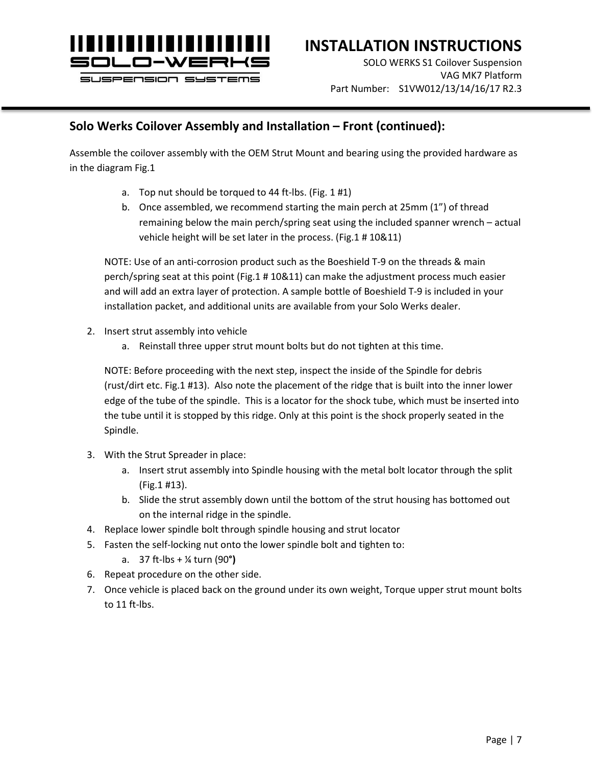

# **INSTALLATION INSTRUCTIONS**

SOLO WERKS S1 Coilover Suspension VAG MK7 Platform Part Number: S1VW012/13/14/16/17 R2.3

### **Solo Werks Coilover Assembly and Installation – Front (continued):**

Assemble the coilover assembly with the OEM Strut Mount and bearing using the provided hardware as in the diagram Fig.1

- a. Top nut should be torqued to 44 ft-lbs. (Fig. 1 #1)
- b. Once assembled, we recommend starting the main perch at 25mm (1") of thread remaining below the main perch/spring seat using the included spanner wrench – actual vehicle height will be set later in the process. (Fig.1 # 10&11)

NOTE: Use of an anti-corrosion product such as the Boeshield T-9 on the threads & main perch/spring seat at this point (Fig.1 # 10&11) can make the adjustment process much easier and will add an extra layer of protection. A sample bottle of Boeshield T-9 is included in your installation packet, and additional units are available from your Solo Werks dealer.

- 2. Insert strut assembly into vehicle
	- a. Reinstall three upper strut mount bolts but do not tighten at this time.

NOTE: Before proceeding with the next step, inspect the inside of the Spindle for debris (rust/dirt etc. Fig.1 #13). Also note the placement of the ridge that is built into the inner lower edge of the tube of the spindle. This is a locator for the shock tube, which must be inserted into the tube until it is stopped by this ridge. Only at this point is the shock properly seated in the Spindle.

- 3. With the Strut Spreader in place:
	- a. Insert strut assembly into Spindle housing with the metal bolt locator through the split (Fig.1 #13).
	- b. Slide the strut assembly down until the bottom of the strut housing has bottomed out on the internal ridge in the spindle.
- 4. Replace lower spindle bolt through spindle housing and strut locator
- 5. Fasten the self-locking nut onto the lower spindle bolt and tighten to:
	- a. 37 ft-lbs + ¼ turn (90**°)**
- 6. Repeat procedure on the other side.
- 7. Once vehicle is placed back on the ground under its own weight, Torque upper strut mount bolts to 11 ft-lbs.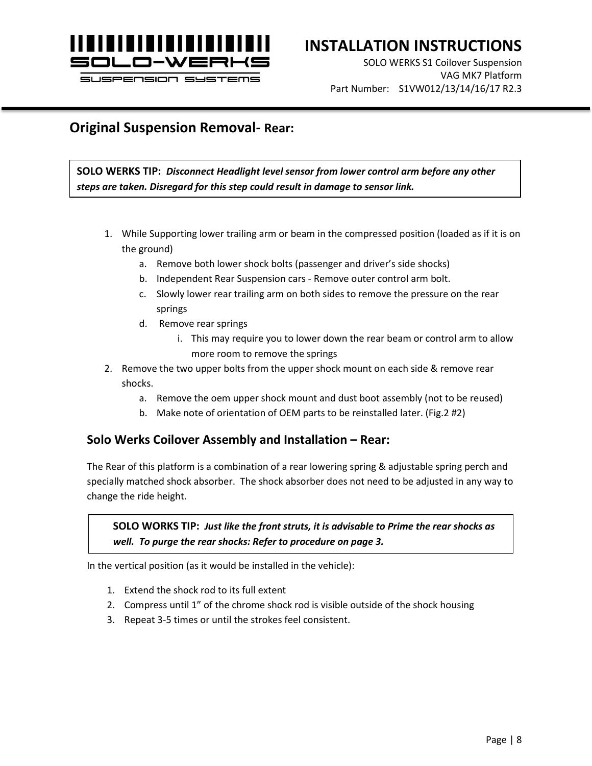

# **INSTALLATION INSTRUCTIONS**

SOLO WERKS S1 Coilover Suspension VAG MK7 Platform Part Number: S1VW012/13/14/16/17 R2.3

### **Original Suspension Removal- Rear:**

**SOLO WERKS TIP:** *Disconnect Headlight level sensor from lower control arm before any other steps are taken. Disregard for this step could result in damage to sensor link.*

- 1. While Supporting lower trailing arm or beam in the compressed position (loaded as if it is on the ground)
	- a. Remove both lower shock bolts (passenger and driver's side shocks)
	- b. Independent Rear Suspension cars Remove outer control arm bolt.
	- c. Slowly lower rear trailing arm on both sides to remove the pressure on the rear springs
	- d. Remove rear springs
		- i. This may require you to lower down the rear beam or control arm to allow more room to remove the springs
- 2. Remove the two upper bolts from the upper shock mount on each side & remove rear shocks.
	- a. Remove the oem upper shock mount and dust boot assembly (not to be reused)
	- b. Make note of orientation of OEM parts to be reinstalled later. (Fig.2 #2)

### **Solo Werks Coilover Assembly and Installation – Rear:**

The Rear of this platform is a combination of a rear lowering spring & adjustable spring perch and specially matched shock absorber. The shock absorber does not need to be adjusted in any way to change the ride height.

**SOLO WORKS TIP:** *Just like the front struts, it is advisable to Prime the rear shocks as well. To purge the rear shocks: Refer to procedure on page 3.*

In the vertical position (as it would be installed in the vehicle):

- 1. Extend the shock rod to its full extent
- 2. Compress until 1" of the chrome shock rod is visible outside of the shock housing
- 3. Repeat 3-5 times or until the strokes feel consistent.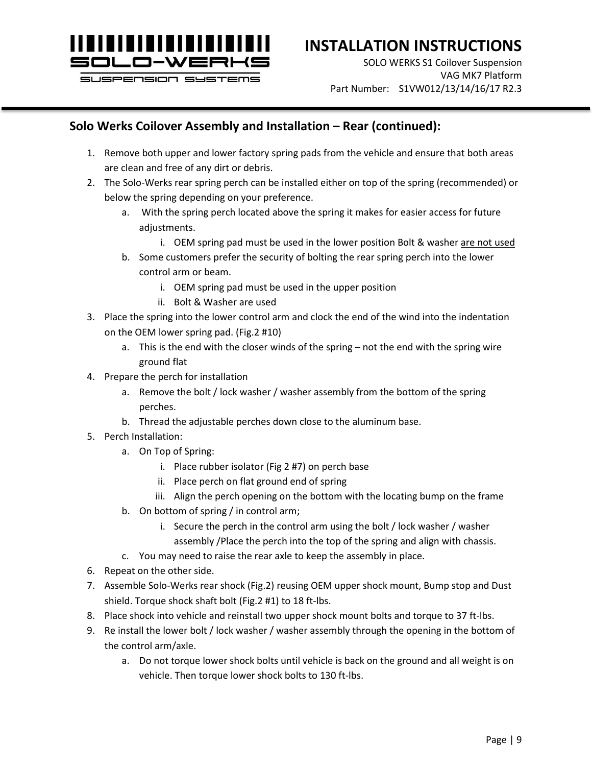

# **INSTALLATION INSTRUCTIONS**

SOLO WERKS S1 Coilover Suspension VAG MK7 Platform Part Number: S1VW012/13/14/16/17 R2.3

### **Solo Werks Coilover Assembly and Installation – Rear (continued):**

- 1. Remove both upper and lower factory spring pads from the vehicle and ensure that both areas are clean and free of any dirt or debris.
- 2. The Solo-Werks rear spring perch can be installed either on top of the spring (recommended) or below the spring depending on your preference.
	- a. With the spring perch located above the spring it makes for easier access for future adjustments.
		- i. OEM spring pad must be used in the lower position Bolt & washer are not used
	- b. Some customers prefer the security of bolting the rear spring perch into the lower control arm or beam.
		- i. OEM spring pad must be used in the upper position
		- ii. Bolt & Washer are used
- 3. Place the spring into the lower control arm and clock the end of the wind into the indentation on the OEM lower spring pad. (Fig.2 #10)
	- a. This is the end with the closer winds of the spring not the end with the spring wire ground flat
- 4. Prepare the perch for installation
	- a. Remove the bolt / lock washer / washer assembly from the bottom of the spring perches.
	- b. Thread the adjustable perches down close to the aluminum base.
- 5. Perch Installation:
	- a. On Top of Spring:
		- i. Place rubber isolator (Fig 2 #7) on perch base
		- ii. Place perch on flat ground end of spring
		- iii. Align the perch opening on the bottom with the locating bump on the frame
	- b. On bottom of spring / in control arm;
		- i. Secure the perch in the control arm using the bolt / lock washer / washer assembly /Place the perch into the top of the spring and align with chassis.
	- c. You may need to raise the rear axle to keep the assembly in place.
- 6. Repeat on the other side.
- 7. Assemble Solo-Werks rear shock (Fig.2) reusing OEM upper shock mount, Bump stop and Dust shield. Torque shock shaft bolt (Fig.2 #1) to 18 ft-lbs.
- 8. Place shock into vehicle and reinstall two upper shock mount bolts and torque to 37 ft-lbs.
- 9. Re install the lower bolt / lock washer / washer assembly through the opening in the bottom of the control arm/axle.
	- a. Do not torque lower shock bolts until vehicle is back on the ground and all weight is on vehicle. Then torque lower shock bolts to 130 ft-lbs.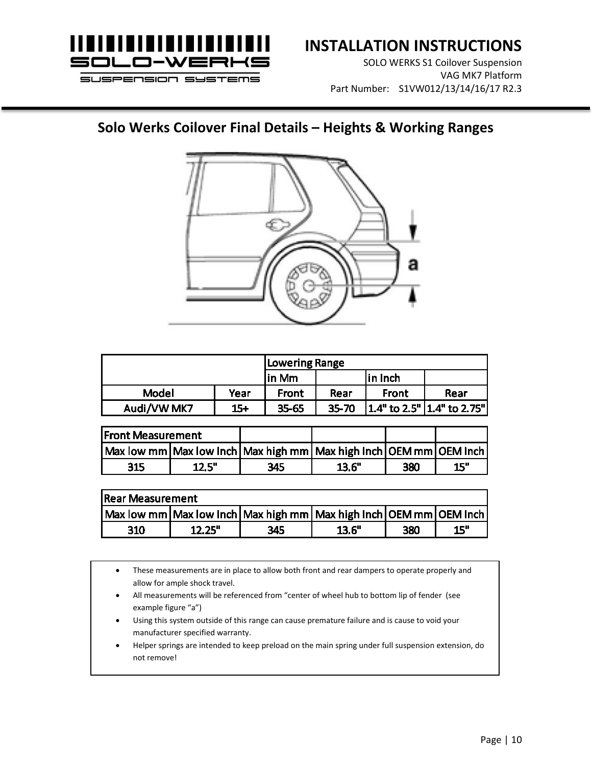

# **INSTALLATION INSTRUCTIONS**

SOLO WERKS S1 Coilover Suspension VAG MK7 Platform Part Number: S1VW012/13/14/16/17 R2.3

### **Solo Werks Coilover Final Details – Heights & Working Ranges**



|             |       | Lowering Range |           |         |                             |  |
|-------------|-------|----------------|-----------|---------|-----------------------------|--|
|             |       | lin Mm         |           | in Inch |                             |  |
| Model       | Year  | Front          | Rear      | Front   | Rear                        |  |
| Audi/VW MK7 | $15+$ | 35-65          | $35 - 70$ |         | 1.4" to 2.5"  1.4" to 2.75" |  |

| <b>Front Measurement</b>                                          |       |     |       |     |     |
|-------------------------------------------------------------------|-------|-----|-------|-----|-----|
| Max low mm Max low Inch Max high mm Max high Inch OEM mm OEM Inch |       |     |       |     |     |
| 315                                                               | 12.5" | 345 | 13.6" | 380 | 15" |

| <b>Rear Measurement</b>                                                     |        |     |       |     |     |  |  |
|-----------------------------------------------------------------------------|--------|-----|-------|-----|-----|--|--|
| Max low mm   Max low Inch   Max high mm   Max high Inch   OEM mm   OEM Inch |        |     |       |     |     |  |  |
| 310                                                                         | 12.25" | 345 | 13.6" | 380 | 15" |  |  |

- These measurements are in place to allow both front and rear dampers to operate properly and allow for ample shock travel.
- All measurements will be referenced from "center of wheel hub to bottom lip of fender (see example figure "a")
- Using this system outside of this range can cause premature failure and is cause to void your manufacturer specified warranty.
- Helper springs are intended to keep preload on the main spring under full suspension extension, do not remove!